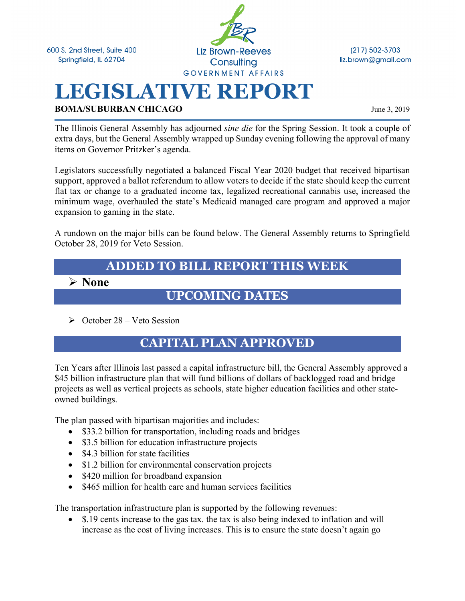600 S. 2nd Street, Suite 400 Springfield, IL 62704



(217) 502-3703 liz.brown@gmail.com

# **LEGISLATIVE REPORT BOMA/SUBURBAN CHICAGO** June 3, 2019

The Illinois General Assembly has adjourned *sine die* for the Spring Session. It took a couple of extra days, but the General Assembly wrapped up Sunday evening following the approval of many items on Governor Pritzker's agenda.

Legislators successfully negotiated a balanced Fiscal Year 2020 budget that received bipartisan support, approved a ballot referendum to allow voters to decide if the state should keep the current flat tax or change to a graduated income tax, legalized recreational cannabis use, increased the minimum wage, overhauled the state's Medicaid managed care program and approved a major expansion to gaming in the state.

A rundown on the major bills can be found below. The General Assembly returns to Springfield October 28, 2019 for Veto Session.

## **ADDED TO BILL REPORT THIS WEEK**

Ø **None**

### **UPCOMING DATES**

 $\geq$  October 28 – Veto Session

### **CAPITAL PLAN APPROVED**

Ten Years after Illinois last passed a capital infrastructure bill, the General Assembly approved a \$45 billion infrastructure plan that will fund billions of dollars of backlogged road and bridge projects as well as vertical projects as schools, state higher education facilities and other stateowned buildings.

The plan passed with bipartisan majorities and includes:

- \$33.2 billion for transportation, including roads and bridges
- \$3.5 billion for education infrastructure projects
- \$4.3 billion for state facilities
- \$1.2 billion for environmental conservation projects
- \$420 million for broadband expansion
- \$465 million for health care and human services facilities

The transportation infrastructure plan is supported by the following revenues:

• \$.19 cents increase to the gas tax. the tax is also being indexed to inflation and will increase as the cost of living increases. This is to ensure the state doesn't again go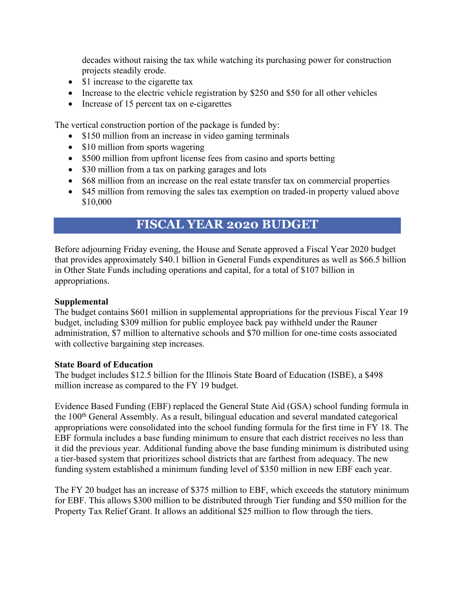decades without raising the tax while watching its purchasing power for construction projects steadily erode.

- \$1 increase to the cigarette tax
- Increase to the electric vehicle registration by \$250 and \$50 for all other vehicles
- Increase of 15 percent tax on e-cigarettes

The vertical construction portion of the package is funded by:

- \$150 million from an increase in video gaming terminals
- \$10 million from sports wagering
- \$500 million from upfront license fees from casino and sports betting
- \$30 million from a tax on parking garages and lots
- \$68 million from an increase on the real estate transfer tax on commercial properties
- \$45 million from removing the sales tax exemption on traded-in property valued above \$10,000

### **FISCAL YEAR 2020 BUDGET**

Before adjourning Friday evening, the House and Senate approved a Fiscal Year 2020 budget that provides approximately \$40.1 billion in General Funds expenditures as well as \$66.5 billion in Other State Funds including operations and capital, for a total of \$107 billion in appropriations.

#### **Supplemental**

The budget contains \$601 million in supplemental appropriations for the previous Fiscal Year 19 budget, including \$309 million for public employee back pay withheld under the Rauner administration, \$7 million to alternative schools and \$70 million for one-time costs associated with collective bargaining step increases.

#### **State Board of Education**

The budget includes \$12.5 billion for the Illinois State Board of Education (ISBE), a \$498 million increase as compared to the FY 19 budget.

Evidence Based Funding (EBF) replaced the General State Aid (GSA) school funding formula in the 100th General Assembly. As a result, bilingual education and several mandated categorical appropriations were consolidated into the school funding formula for the first time in FY 18. The EBF formula includes a base funding minimum to ensure that each district receives no less than it did the previous year. Additional funding above the base funding minimum is distributed using a tier-based system that prioritizes school districts that are farthest from adequacy. The new funding system established a minimum funding level of \$350 million in new EBF each year.

The FY 20 budget has an increase of \$375 million to EBF, which exceeds the statutory minimum for EBF. This allows \$300 million to be distributed through Tier funding and \$50 million for the Property Tax Relief Grant. It allows an additional \$25 million to flow through the tiers.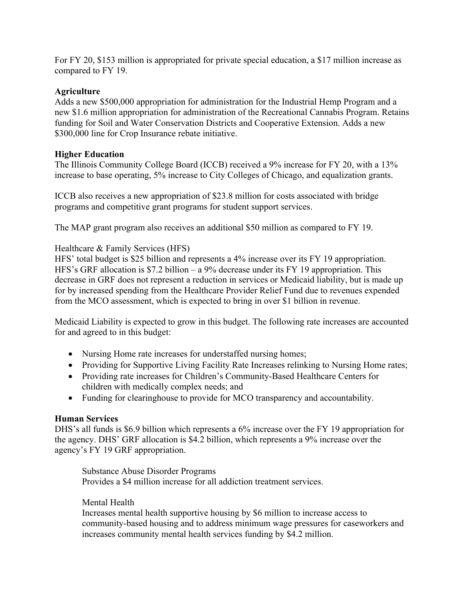For FY 20, \$153 million is appropriated for private special education, a \$17 million increase as compared to FY 19.

#### **Agriculture**

Adds a new \$500,000 appropriation for administration for the Industrial Hemp Program and a new \$1.6 million appropriation for administration of the Recreational Cannabis Program. Retains funding for Soil and Water Conservation Districts and Cooperative Extension. Adds a new \$300,000 line for Crop Insurance rebate initiative.

#### **Higher Education**

The Illinois Community College Board (ICCB) received a 9% increase for FY 20, with a 13% increase to base operating, 5% increase to City Colleges of Chicago, and equalization grants.

ICCB also receives a new appropriation of \$23.8 million for costs associated with bridge programs and competitive grant programs for student support services.

The MAP grant program also receives an additional \$50 million as compared to FY 19.

#### Healthcare & Family Services (HFS)

HFS' total budget is \$25 billion and represents a 4% increase over its FY 19 appropriation. HFS's GRF allocation is \$7.2 billion – a 9% decrease under its FY 19 appropriation. This decrease in GRF does not represent a reduction in services or Medicaid liability, but is made up for by increased spending from the Healthcare Provider Relief Fund due to revenues expended from the MCO assessment, which is expected to bring in over \$1 billion in revenue.

Medicaid Liability is expected to grow in this budget. The following rate increases are accounted for and agreed to in this budget:

- Nursing Home rate increases for understaffed nursing homes;
- Providing for Supportive Living Facility Rate Increases relinking to Nursing Home rates;
- Providing rate increases for Children's Community-Based Healthcare Centers for children with medically complex needs; and
- Funding for clearinghouse to provide for MCO transparency and accountability.

#### **Human Services**

DHS's all funds is \$6.9 billion which represents a 6% increase over the FY 19 appropriation for the agency. DHS' GRF allocation is \$4.2 billion, which represents a 9% increase over the agency's FY 19 GRF appropriation.

Substance Abuse Disorder Programs Provides a \$4 million increase for all addiction treatment services.

#### Mental Health

Increases mental health supportive housing by \$6 million to increase access to community-based housing and to address minimum wage pressures for caseworkers and increases community mental health services funding by \$4.2 million.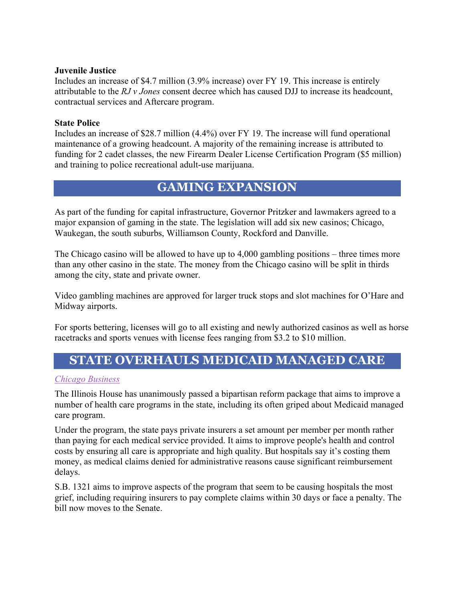#### **Juvenile Justice**

Includes an increase of \$4.7 million (3.9% increase) over FY 19. This increase is entirely attributable to the *RJ v Jones* consent decree which has caused DJJ to increase its headcount, contractual services and Aftercare program.

#### **State Police**

Includes an increase of \$28.7 million (4.4%) over FY 19. The increase will fund operational maintenance of a growing headcount. A majority of the remaining increase is attributed to funding for 2 cadet classes, the new Firearm Dealer License Certification Program (\$5 million) and training to police recreational adult-use marijuana.

### **GAMING EXPANSION**

As part of the funding for capital infrastructure, Governor Pritzker and lawmakers agreed to a major expansion of gaming in the state. The legislation will add six new casinos; Chicago, Waukegan, the south suburbs, Williamson County, Rockford and Danville.

The Chicago casino will be allowed to have up to 4,000 gambling positions – three times more than any other casino in the state. The money from the Chicago casino will be split in thirds among the city, state and private owner.

Video gambling machines are approved for larger truck stops and slot machines for O'Hare and Midway airports.

For sports bettering, licenses will go to all existing and newly authorized casinos as well as horse racetracks and sports venues with license fees ranging from \$3.2 to \$10 million.

### **STATE OVERHAULS MEDICAID MANAGED CARE**

#### *Chicago Business*

The Illinois House has unanimously passed a bipartisan reform package that aims to improve a number of health care programs in the state, including its often griped about Medicaid managed care program.

Under the program, the state pays private insurers a set amount per member per month rather than paying for each medical service provided. It aims to improve people's health and control costs by ensuring all care is appropriate and high quality. But hospitals say it's costing them money, as medical claims denied for administrative reasons cause significant reimbursement delays.

S.B. 1321 aims to improve aspects of the program that seem to be causing hospitals the most grief, including requiring insurers to pay complete claims within 30 days or face a penalty. The bill now moves to the Senate.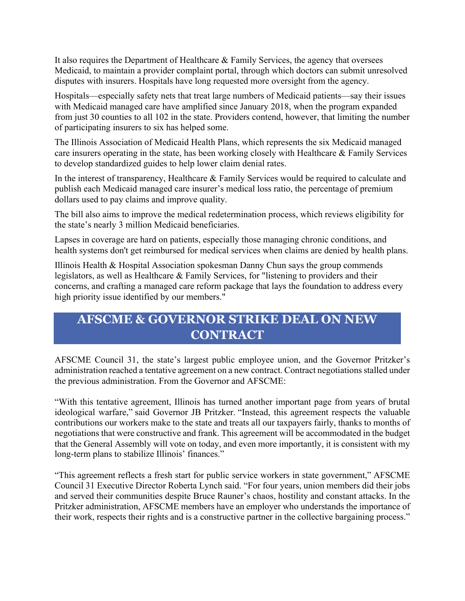It also requires the Department of Healthcare & Family Services, the agency that oversees Medicaid, to maintain a provider complaint portal, through which doctors can submit unresolved disputes with insurers. Hospitals have long requested more oversight from the agency.

Hospitals—especially safety nets that treat large numbers of Medicaid patients—say their issues with Medicaid managed care have amplified since January 2018, when the program expanded from just 30 counties to all 102 in the state. Providers contend, however, that limiting the number of participating insurers to six has helped some.

The Illinois Association of Medicaid Health Plans, which represents the six Medicaid managed care insurers operating in the state, has been working closely with Healthcare & Family Services to develop standardized guides to help lower claim denial rates.

In the interest of transparency, Healthcare & Family Services would be required to calculate and publish each Medicaid managed care insurer's medical loss ratio, the percentage of premium dollars used to pay claims and improve quality.

The bill also aims to improve the medical redetermination process, which reviews eligibility for the state's nearly 3 million Medicaid beneficiaries.

Lapses in coverage are hard on patients, especially those managing chronic conditions, and health systems don't get reimbursed for medical services when claims are denied by health plans.

Illinois Health & Hospital Association spokesman Danny Chun says the group commends legislators, as well as Healthcare & Family Services, for "listening to providers and their concerns, and crafting a managed care reform package that lays the foundation to address every high priority issue identified by our members."

# **AFSCME & GOVERNOR STRIKE DEAL ON NEW CONTRACT**

AFSCME Council 31, the state's largest public employee union, and the Governor Pritzker's administration reached a tentative agreement on a new contract. Contract negotiations stalled under the previous administration. From the Governor and AFSCME:

"With this tentative agreement, Illinois has turned another important page from years of brutal ideological warfare," said Governor JB Pritzker. "Instead, this agreement respects the valuable contributions our workers make to the state and treats all our taxpayers fairly, thanks to months of negotiations that were constructive and frank. This agreement will be accommodated in the budget that the General Assembly will vote on today, and even more importantly, it is consistent with my long-term plans to stabilize Illinois' finances."

"This agreement reflects a fresh start for public service workers in state government," AFSCME Council 31 Executive Director Roberta Lynch said. "For four years, union members did their jobs and served their communities despite Bruce Rauner's chaos, hostility and constant attacks. In the Pritzker administration, AFSCME members have an employer who understands the importance of their work, respects their rights and is a constructive partner in the collective bargaining process."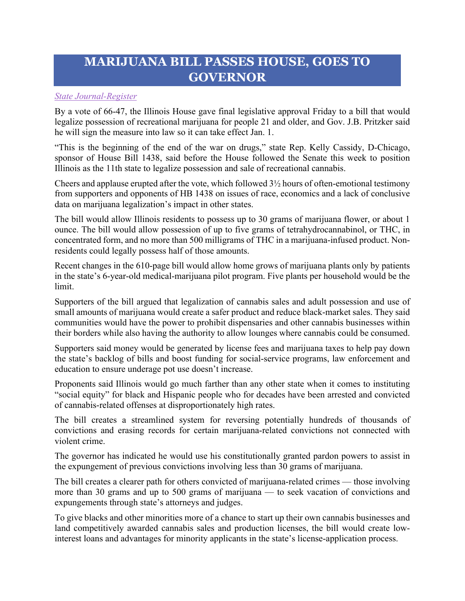# **MARIJUANA BILL PASSES HOUSE, GOES TO GOVERNOR**

#### *State Journal-Register*

By a vote of 66-47, the Illinois House gave final legislative approval Friday to a bill that would legalize possession of recreational marijuana for people 21 and older, and Gov. J.B. Pritzker said he will sign the measure into law so it can take effect Jan. 1.

"This is the beginning of the end of the war on drugs," state Rep. Kelly Cassidy, D-Chicago, sponsor of House Bill 1438, said before the House followed the Senate this week to position Illinois as the 11th state to legalize possession and sale of recreational cannabis.

Cheers and applause erupted after the vote, which followed 3½ hours of often-emotional testimony from supporters and opponents of HB 1438 on issues of race, economics and a lack of conclusive data on marijuana legalization's impact in other states.

The bill would allow Illinois residents to possess up to 30 grams of marijuana flower, or about 1 ounce. The bill would allow possession of up to five grams of tetrahydrocannabinol, or THC, in concentrated form, and no more than 500 milligrams of THC in a marijuana-infused product. Nonresidents could legally possess half of those amounts.

Recent changes in the 610-page bill would allow home grows of marijuana plants only by patients in the state's 6-year-old medical-marijuana pilot program. Five plants per household would be the limit.

Supporters of the bill argued that legalization of cannabis sales and adult possession and use of small amounts of marijuana would create a safer product and reduce black-market sales. They said communities would have the power to prohibit dispensaries and other cannabis businesses within their borders while also having the authority to allow lounges where cannabis could be consumed.

Supporters said money would be generated by license fees and marijuana taxes to help pay down the state's backlog of bills and boost funding for social-service programs, law enforcement and education to ensure underage pot use doesn't increase.

Proponents said Illinois would go much farther than any other state when it comes to instituting "social equity" for black and Hispanic people who for decades have been arrested and convicted of cannabis-related offenses at disproportionately high rates.

The bill creates a streamlined system for reversing potentially hundreds of thousands of convictions and erasing records for certain marijuana-related convictions not connected with violent crime.

The governor has indicated he would use his constitutionally granted pardon powers to assist in the expungement of previous convictions involving less than 30 grams of marijuana.

The bill creates a clearer path for others convicted of marijuana-related crimes — those involving more than 30 grams and up to 500 grams of marijuana — to seek vacation of convictions and expungements through state's attorneys and judges.

To give blacks and other minorities more of a chance to start up their own cannabis businesses and land competitively awarded cannabis sales and production licenses, the bill would create lowinterest loans and advantages for minority applicants in the state's license-application process.